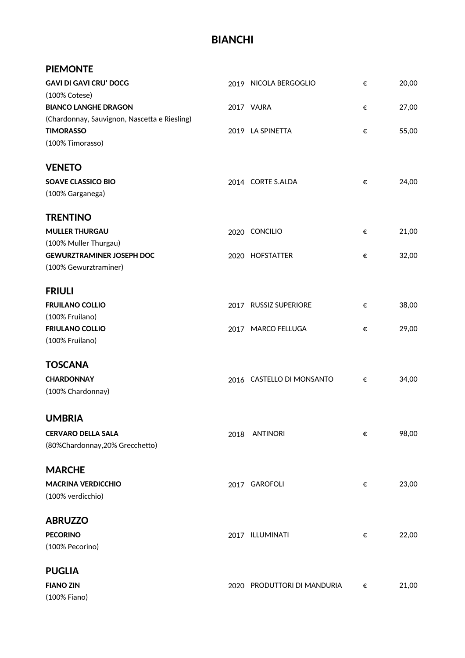### **BIANCHI**

#### **PIEMONTE**

| <b>GAVI DI GAVI CRU' DOCG</b>                |      | 2019 NICOLA BERGOGLIO       | € | 20,00 |
|----------------------------------------------|------|-----------------------------|---|-------|
| (100% Cotese)                                |      |                             |   |       |
| <b>BIANCO LANGHE DRAGON</b>                  |      | 2017 VAJRA                  | € | 27,00 |
| (Chardonnay, Sauvignon, Nascetta e Riesling) |      |                             |   |       |
| <b>TIMORASSO</b>                             |      | 2019 LA SPINETTA            | € | 55,00 |
| (100% Timorasso)                             |      |                             |   |       |
| <b>VENETO</b>                                |      |                             |   |       |
| <b>SOAVE CLASSICO BIO</b>                    |      | 2014 CORTE S.ALDA           | € | 24,00 |
| (100% Garganega)                             |      |                             |   |       |
| <b>TRENTINO</b>                              |      |                             |   |       |
| <b>MULLER THURGAU</b>                        |      | 2020 CONCILIO               | € | 21,00 |
| (100% Muller Thurgau)                        |      |                             |   |       |
| <b>GEWURZTRAMINER JOSEPH DOC</b>             |      | 2020 HOFSTATTER             | € | 32,00 |
| (100% Gewurztraminer)                        |      |                             |   |       |
| <b>FRIULI</b>                                |      |                             |   |       |
| <b>FRUILANO COLLIO</b>                       |      | 2017 RUSSIZ SUPERIORE       | € | 38,00 |
| (100% Fruilano)                              |      |                             |   |       |
| <b>FRIULANO COLLIO</b>                       |      | 2017 MARCO FELLUGA          | € | 29,00 |
| (100% Fruilano)                              |      |                             |   |       |
| <b>TOSCANA</b>                               |      |                             |   |       |
|                                              |      |                             |   |       |
| <b>CHARDONNAY</b>                            |      | 2016 CASTELLO DI MONSANTO   | € | 34,00 |
| (100% Chardonnay)                            |      |                             |   |       |
| <b>UMBRIA</b>                                |      |                             |   |       |
| <b>CERVARO DELLA SALA</b>                    | 2018 | <b>ANTINORI</b>             | € | 98,00 |
| (80%Chardonnay, 20% Grecchetto)              |      |                             |   |       |
| <b>MARCHE</b>                                |      |                             |   |       |
| <b>MACRINA VERDICCHIO</b>                    |      | 2017 GAROFOLI               | € | 23,00 |
| (100% verdicchio)                            |      |                             |   |       |
| <b>ABRUZZO</b>                               |      |                             |   |       |
| <b>PECORINO</b>                              |      | 2017 ILLUMINATI             | € | 22,00 |
| (100% Pecorino)                              |      |                             |   |       |
|                                              |      |                             |   |       |
| <b>PUGLIA</b>                                |      |                             |   |       |
| <b>FIANO ZIN</b>                             |      | 2020 PRODUTTORI DI MANDURIA | € | 21,00 |
| (100% Fiano)                                 |      |                             |   |       |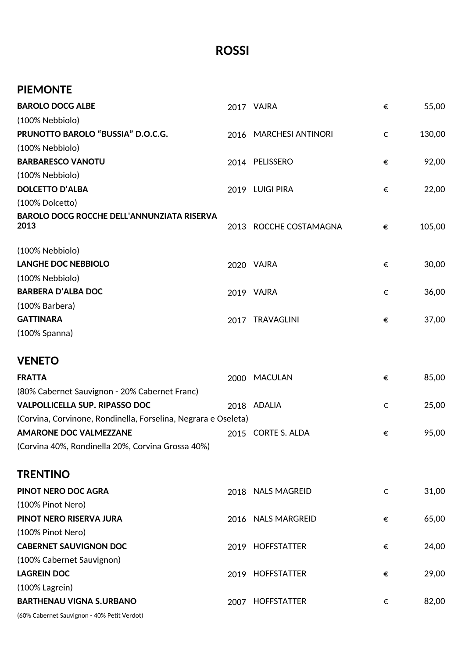### **ROSSI**

|                                                                |                    | €                                                                                                                                | 55,00  |
|----------------------------------------------------------------|--------------------|----------------------------------------------------------------------------------------------------------------------------------|--------|
|                                                                |                    |                                                                                                                                  |        |
|                                                                |                    | €                                                                                                                                | 130,00 |
|                                                                |                    |                                                                                                                                  |        |
|                                                                |                    | €                                                                                                                                | 92,00  |
|                                                                |                    |                                                                                                                                  |        |
|                                                                |                    | €                                                                                                                                | 22,00  |
|                                                                |                    |                                                                                                                                  |        |
|                                                                | ROCCHE COSTAMAGNA  | €                                                                                                                                | 105,00 |
|                                                                |                    |                                                                                                                                  |        |
|                                                                |                    | €                                                                                                                                | 30,00  |
|                                                                |                    |                                                                                                                                  |        |
|                                                                |                    | €                                                                                                                                | 36,00  |
|                                                                |                    |                                                                                                                                  |        |
|                                                                |                    | €                                                                                                                                | 37,00  |
|                                                                |                    |                                                                                                                                  |        |
|                                                                |                    |                                                                                                                                  |        |
|                                                                |                    |                                                                                                                                  |        |
| 2000                                                           | <b>MACULAN</b>     | €                                                                                                                                | 85,00  |
|                                                                |                    |                                                                                                                                  |        |
|                                                                | 2018 ADALIA        | €                                                                                                                                | 25,00  |
| (Corvina, Corvinone, Rondinella, Forselina, Negrara e Oseleta) |                    |                                                                                                                                  |        |
|                                                                | 2015 CORTE S. ALDA | €                                                                                                                                | 95,00  |
|                                                                |                    |                                                                                                                                  |        |
|                                                                |                    |                                                                                                                                  |        |
|                                                                | 2018 NALS MAGREID  | €                                                                                                                                | 31,00  |
|                                                                |                    |                                                                                                                                  |        |
|                                                                | 2016 NALS MARGREID | €                                                                                                                                | 65,00  |
|                                                                |                    |                                                                                                                                  |        |
|                                                                | 2019 HOFFSTATTER   | €                                                                                                                                | 24,00  |
|                                                                |                    |                                                                                                                                  |        |
|                                                                | 2019 HOFFSTATTER   | €                                                                                                                                | 29,00  |
|                                                                |                    |                                                                                                                                  |        |
|                                                                |                    | 2017 VAJRA<br>2016 MARCHESI ANTINORI<br>2014 PELISSERO<br>2019 LUIGI PIRA<br>2013<br>2020 VAJRA<br>2019 VAJRA<br>2017 TRAVAGLINI |        |

(60% Cabernet Sauvignon - 40% Petit Verdot)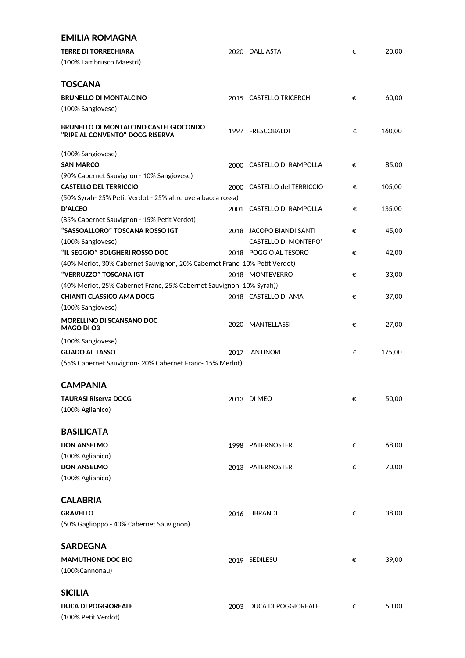| <b>EMILIA ROMAGNA</b>                                                      |      |                             |   |        |
|----------------------------------------------------------------------------|------|-----------------------------|---|--------|
| <b>TERRE DI TORRECHIARA</b>                                                |      | 2020 DALL'ASTA              | € | 20,00  |
| (100% Lambrusco Maestri)                                                   |      |                             |   |        |
|                                                                            |      |                             |   |        |
| <b>TOSCANA</b>                                                             |      |                             |   |        |
|                                                                            |      |                             |   |        |
| <b>BRUNELLO DI MONTALCINO</b>                                              |      | 2015 CASTELLO TRICERCHI     | € | 60,00  |
| (100% Sangiovese)                                                          |      |                             |   |        |
| <b>BRUNELLO DI MONTALCINO CASTELGIOCONDO</b>                               |      |                             |   |        |
| "RIPE AL CONVENTO" DOCG RISERVA                                            |      | 1997 FRESCOBALDI            | € | 160,00 |
|                                                                            |      |                             |   |        |
| (100% Sangiovese)                                                          |      |                             |   |        |
| <b>SAN MARCO</b>                                                           |      | 2000 CASTELLO DI RAMPOLLA   | € | 85,00  |
| (90% Cabernet Sauvignon - 10% Sangiovese)                                  |      |                             |   |        |
| <b>CASTELLO DEL TERRICCIO</b>                                              |      | 2000 CASTELLO del TERRICCIO | € | 105,00 |
| (50% Syrah-25% Petit Verdot - 25% altre uve a bacca rossa)                 |      |                             |   |        |
| <b>D'ALCEO</b>                                                             |      | 2001 CASTELLO DI RAMPOLLA   | € | 135,00 |
| (85% Cabernet Sauvignon - 15% Petit Verdot)                                |      |                             |   |        |
| "SASSOALLORO" TOSCANA ROSSO IGT                                            |      | 2018 JACOPO BIANDI SANTI    | € | 45,00  |
| (100% Sangiovese)                                                          |      | CASTELLO DI MONTEPO'        |   |        |
| "IL SEGGIO" BOLGHERI ROSSO DOC                                             |      | 2018 POGGIO AL TESORO       | € | 42,00  |
| (40% Merlot, 30% Cabernet Sauvignon, 20% Cabernet Franc, 10% Petit Verdot) |      |                             |   |        |
| "VERRUZZO" TOSCANA IGT                                                     |      | 2018 MONTEVERRO             | € | 33,00  |
| (40% Merlot, 25% Cabernet Franc, 25% Cabernet Sauvignon, 10% Syrah))       |      |                             |   |        |
| <b>CHIANTI CLASSICO AMA DOCG</b>                                           |      | 2018 CASTELLO DI AMA        | € | 37,00  |
| (100% Sangiovese)                                                          |      |                             |   |        |
| <b>MORELLINO DI SCANSANO DOC</b>                                           |      |                             |   |        |
| MAGO DI 03                                                                 |      | 2020 MANTELLASSI            | € | 27,00  |
| (100% Sangiovese)                                                          |      |                             |   |        |
| <b>GUADO AL TASSO</b>                                                      | 2017 | <b>ANTINORI</b>             | € | 175,00 |
| (65% Cabernet Sauvignon- 20% Cabernet Franc- 15% Merlot)                   |      |                             |   |        |
|                                                                            |      |                             |   |        |
| <b>CAMPANIA</b>                                                            |      |                             |   |        |
| <b>TAURASI Riserva DOCG</b>                                                |      | 2013 DI MEO                 |   | 50,00  |
| (100% Aglianico)                                                           |      |                             | € |        |
|                                                                            |      |                             |   |        |
| <b>BASILICATA</b>                                                          |      |                             |   |        |
|                                                                            |      |                             |   |        |
| <b>DON ANSELMO</b>                                                         |      | 1998 PATERNOSTER            | € | 68,00  |
| (100% Aglianico)                                                           |      |                             |   |        |
| <b>DON ANSELMO</b>                                                         |      | 2013 PATERNOSTER            | € | 70,00  |
| (100% Aglianico)                                                           |      |                             |   |        |
|                                                                            |      |                             |   |        |
| <b>CALABRIA</b>                                                            |      |                             |   |        |
| <b>GRAVELLO</b>                                                            |      | 2016 LIBRANDI               | € | 38,00  |
| (60% Gaglioppo - 40% Cabernet Sauvignon)                                   |      |                             |   |        |
|                                                                            |      |                             |   |        |
| <b>SARDEGNA</b>                                                            |      |                             |   |        |
| <b>MAMUTHONE DOC BIO</b>                                                   |      | 2019 SEDILESU               | € | 39,00  |
| (100%Cannonau)                                                             |      |                             |   |        |
|                                                                            |      |                             |   |        |
| <b>SICILIA</b>                                                             |      |                             |   |        |
|                                                                            |      |                             |   |        |
| <b>DUCA DI POGGIOREALE</b>                                                 |      | 2003 DUCA DI POGGIOREALE    | € | 50,00  |
| (100% Petit Verdot)                                                        |      |                             |   |        |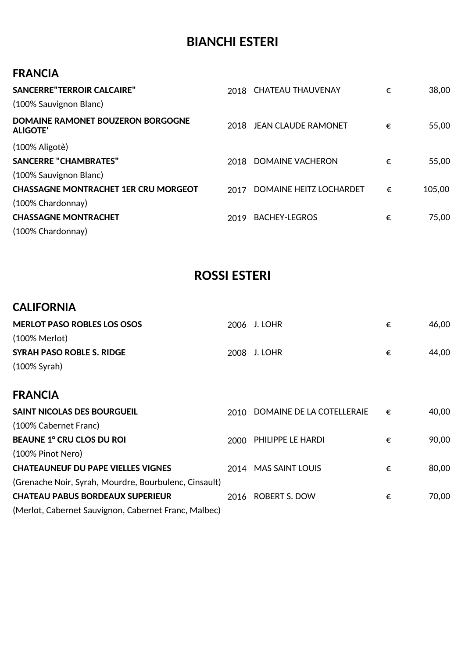# **BIANCHI ESTERI**

#### **FRANCIA**

| <b>SANCERRE"TERROIR CALCAIRE"</b><br>(100% Sauvignon Blanc) |      | 2018 CHATEAU THAUVENAY         | € | 38,00  |
|-------------------------------------------------------------|------|--------------------------------|---|--------|
| DOMAINE RAMONET BOUZERON BORGOGNE<br><b>ALIGOTE'</b>        | 2018 | <b>JEAN CLAUDE RAMONET</b>     | € | 55,00  |
| $(100\%$ Aligotè)                                           |      |                                |   |        |
| <b>SANCERRE "CHAMBRATES"</b>                                | 2018 | DOMAINE VACHERON               | € | 55,00  |
| (100% Sauvignon Blanc)                                      |      |                                |   |        |
| <b>CHASSAGNE MONTRACHET 1ER CRU MORGEOT</b>                 | 2017 | <b>DOMAINE HEITZ LOCHARDET</b> | € | 105,00 |
| (100% Chardonnay)                                           |      |                                |   |        |
| <b>CHASSAGNE MONTRACHET</b>                                 | 2019 | <b>BACHEY-LEGROS</b>           | € | 75,00  |
| (100% Chardonnay)                                           |      |                                |   |        |

# **ROSSI ESTERI**

#### **CALIFORNIA**

| <b>MERLOT PASO ROBLES LOS OSOS</b>                    | 2006 | J. LOHR                   | € | 46,00 |
|-------------------------------------------------------|------|---------------------------|---|-------|
| $(100\% \text{ Merlot})$                              |      |                           |   |       |
| <b>SYRAH PASO ROBLE S. RIDGE</b>                      | 2008 | J. LOHR                   | € | 44,00 |
| $(100\%$ Syrah)                                       |      |                           |   |       |
| <b>FRANCIA</b>                                        |      |                           |   |       |
| <b>SAINT NICOLAS DES BOURGUEIL</b>                    | 2010 | DOMAINE DE LA COTELLERAIE | € | 40,00 |
| (100% Cabernet Franc)                                 |      |                           |   |       |
| <b>BEAUNE 1º CRU CLOS DU ROI</b>                      | 2000 | PHILIPPE LE HARDI         | € | 90,00 |
| (100% Pinot Nero)                                     |      |                           |   |       |
| <b>CHATEAUNEUF DU PAPE VIELLES VIGNES</b>             | 2014 | <b>MAS SAINT LOUIS</b>    | € | 80,00 |
| (Grenache Noir, Syrah, Mourdre, Bourbulenc, Cinsault) |      |                           |   |       |
| <b>CHATEAU PABUS BORDEAUX SUPERIEUR</b>               | 2016 | <b>ROBERT S. DOW</b>      | € | 70,00 |
| (Merlot, Cabernet Sauvignon, Cabernet Franc, Malbec)  |      |                           |   |       |